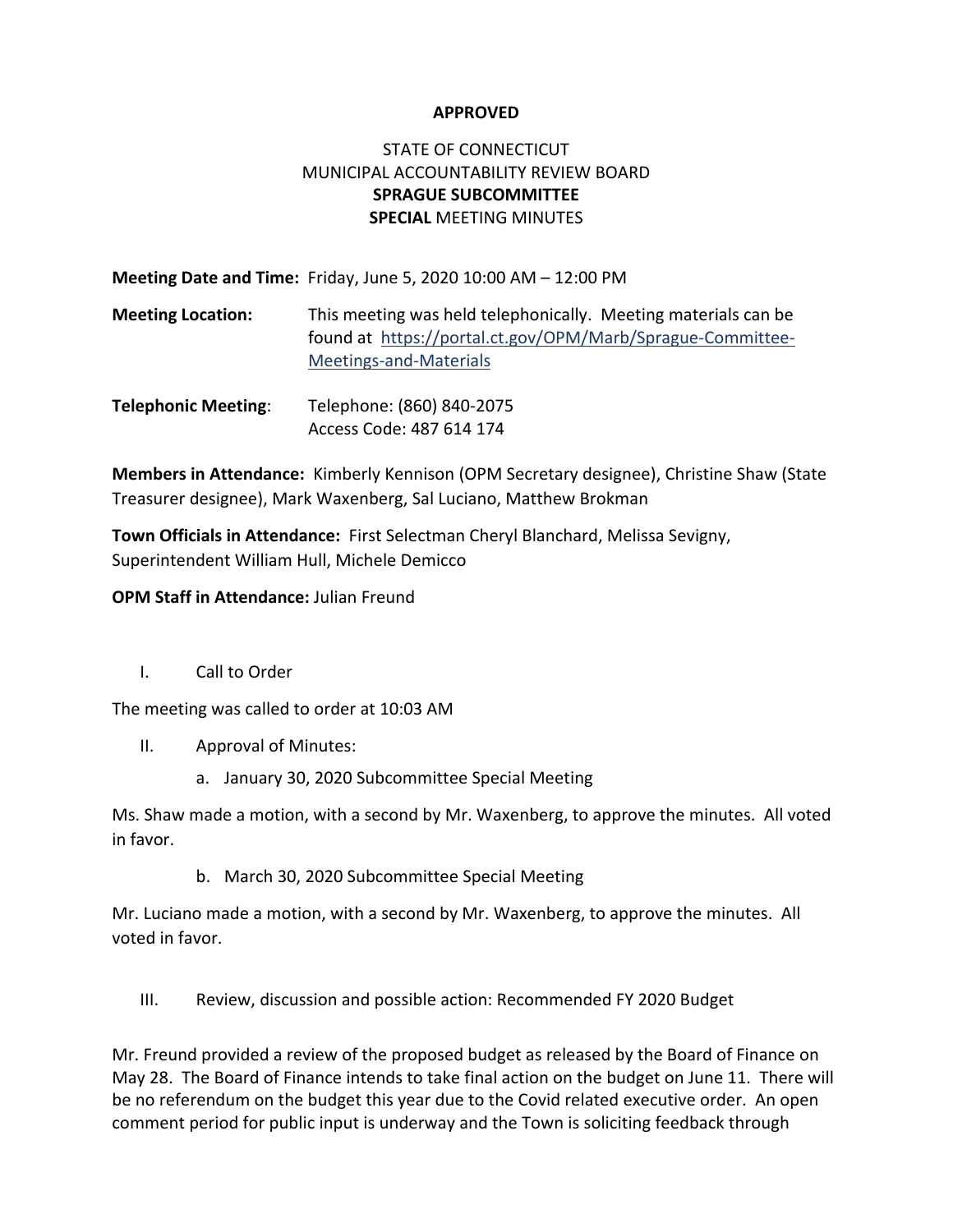### **APPROVED**

## STATE OF CONNECTICUT MUNICIPAL ACCOUNTABILITY REVIEW BOARD **SPRAGUE SUBCOMMITTEE SPECIAL** MEETING MINUTES

**Meeting Date and Time:** Friday, June 5, 2020 10:00 AM – 12:00 PM

- **Meeting Location:** This meeting was held telephonically. Meeting materials can be found at [https://portal.ct.gov/OPM/Marb/Sprague-Committee-](https://portal.ct.gov/OPM/Marb/Sprague-Committee-Meetings-and-Materials)[Meetings-and-Materials](https://portal.ct.gov/OPM/Marb/Sprague-Committee-Meetings-and-Materials)
- **Telephonic Meeting**: Telephone: (860) 840-2075 Access Code: 487 614 174

**Members in Attendance:** Kimberly Kennison (OPM Secretary designee), Christine Shaw (State Treasurer designee), Mark Waxenberg, Sal Luciano, Matthew Brokman

**Town Officials in Attendance:** First Selectman Cheryl Blanchard, Melissa Sevigny, Superintendent William Hull, Michele Demicco

### **OPM Staff in Attendance:** Julian Freund

I. Call to Order

The meeting was called to order at 10:03 AM

- II. Approval of Minutes:
	- a. January 30, 2020 Subcommittee Special Meeting

Ms. Shaw made a motion, with a second by Mr. Waxenberg, to approve the minutes. All voted in favor.

b. March 30, 2020 Subcommittee Special Meeting

Mr. Luciano made a motion, with a second by Mr. Waxenberg, to approve the minutes. All voted in favor.

III. Review, discussion and possible action: Recommended FY 2020 Budget

Mr. Freund provided a review of the proposed budget as released by the Board of Finance on May 28. The Board of Finance intends to take final action on the budget on June 11. There will be no referendum on the budget this year due to the Covid related executive order. An open comment period for public input is underway and the Town is soliciting feedback through